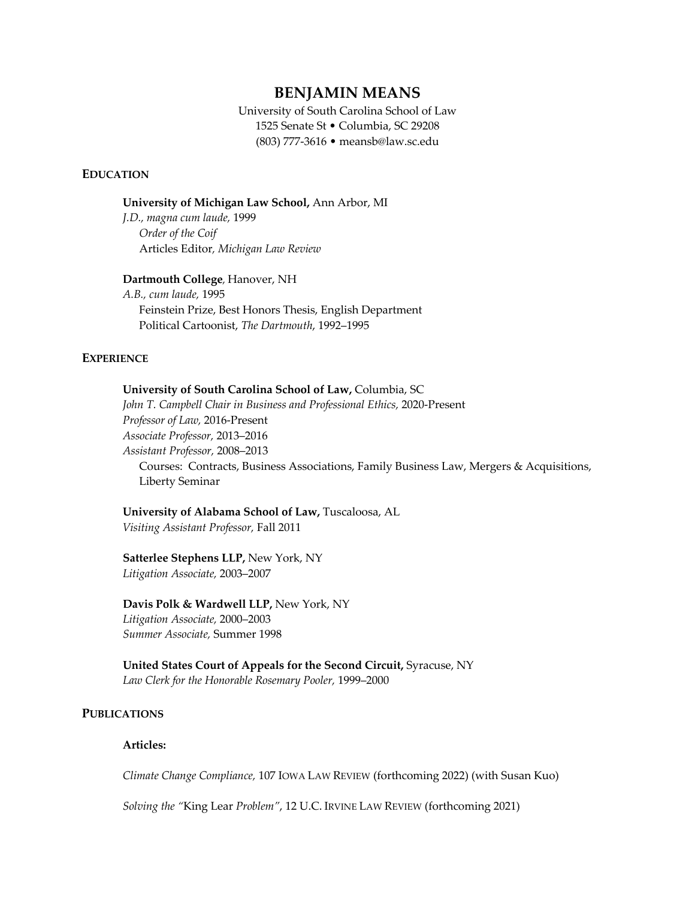# **BENJAMIN MEANS**

 University of South Carolina School of Law 1525 Senate St • Columbia, SC 29208 (803) 777-3616 • [meansb@law.sc.edu](mailto:meansb@law.sc.edu) 

#### **EDUCATION**

 **University of Michigan Law School,** Ann Arbor, MI

 *J.D., magna cum laude,* 1999  *Order of the Coif*  Articles Editor*, Michigan Law Review* 

#### **Dartmouth College**, Hanover, NH

 *A.B., cum laude,* 1995 Feinstein Prize, Best Honors Thesis, English Department Political Cartoonist, *The Dartmouth*, 1992–1995

#### **EXPERIENCE**

#### **University of South Carolina School of Law,** Columbia, SC

 *John T. Campbell Chair in Business and Professional Ethics,* 2020-Present  *Professor of Law,* 2016-Present *Associate Professor,* 2013–2016  *Assistant Professor,* 2008–2013 Courses: Contracts, Business Associations, Family Business Law, Mergers & Acquisitions, Liberty Seminar

# **University of Alabama School of Law,** Tuscaloosa, AL

*Visiting Assistant Professor,* Fall 2011

#### **Satterlee Stephens LLP,** New York, NY *Litigation Associate,* 2003–2007

#### **Davis Polk & Wardwell LLP,** New York, NY

*Litigation Associate,* 2000–2003 *Summer Associate,* Summer 1998

 **United States Court of Appeals for the Second Circuit,** Syracuse, NY  *Law Clerk for the Honorable Rosemary Pooler,* 1999–2000

#### **PUBLICATIONS**

## **Articles:**

 *Climate Change Compliance,* 107 IOWA LAW REVIEW (forthcoming 2022) (with Susan Kuo)

*Solving the "*King Lear *Problem"*, 12 U.C. IRVINE LAW REVIEW (forthcoming 2021)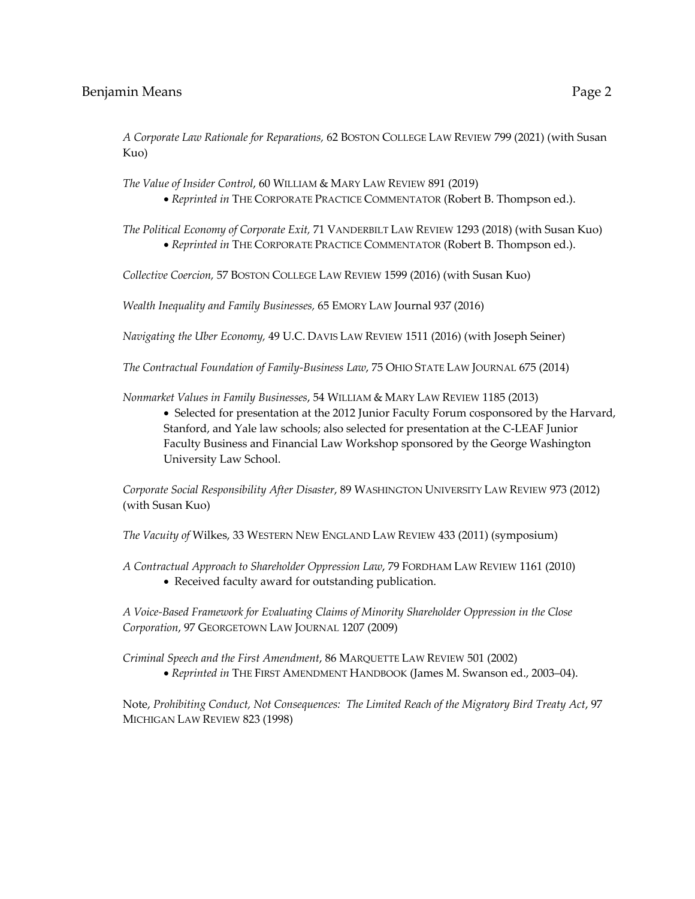*A Corporate Law Rationale for Reparations,* 62 BOSTON COLLEGE LAW REVIEW 799 (2021) (with Susan Kuo)

 *The Value of Insider Control*, 60 WILLIAM & MARY LAW REVIEW 891 (2019)

• *Reprinted in* THE CORPORATE PRACTICE COMMENTATOR (Robert B. Thompson ed.).

 *The Political Economy of Corporate Exit,* 71 VANDERBILT LAW REVIEW 1293 (2018) (with Susan Kuo) • *Reprinted in* THE CORPORATE PRACTICE COMMENTATOR (Robert B. Thompson ed.).

*Collective Coercion,* 57 BOSTON COLLEGE LAW REVIEW 1599 (2016) (with Susan Kuo)

*Wealth Inequality and Family Businesses,* 65 EMORY LAW Journal 937 (2016)

 *Navigating the Uber Economy,* 49 U.C. DAVIS LAW REVIEW 1511 (2016) (with Joseph Seiner)

 *The Contractual Foundation of Family-Business Law*, 75 OHIO STATE LAW JOURNAL 675 (2014)

*Nonmarket Values in Family Businesses*, 54 WILLIAM & MARY LAW REVIEW 1185 (2013)

 • Selected for presentation at the 2012 Junior Faculty Forum cosponsored by the Harvard, Stanford, and Yale law schools; also selected for presentation at the C-LEAF Junior Faculty Business and Financial Law Workshop sponsored by the George Washington University Law School.

 *Corporate Social Responsibility After Disaster*, 89 WASHINGTON UNIVERSITY LAW REVIEW 973 (2012) (with Susan Kuo)

 *The Vacuity of* Wilkes, 33 WESTERN NEW ENGLAND LAW REVIEW 433 (2011) (symposium)

 *A Contractual Approach to Shareholder Oppression Law*, 79 FORDHAM LAW REVIEW 1161 (2010) • Received faculty award for outstanding publication.

 *A Voice-Based Framework for Evaluating Claims of Minority Shareholder Oppression in the Close Corporation*, 97 GEORGETOWN LAW JOURNAL 1207 (2009)

 *Criminal Speech and the First Amendment*, 86 MARQUETTE LAW REVIEW 501 (2002) • *Reprinted in* THE FIRST AMENDMENT HANDBOOK (James M. Swanson ed., 2003–04).

 Note, *Prohibiting Conduct, Not Consequences: The Limited Reach of the Migratory Bird Treaty Act*, 97 MICHIGAN LAW REVIEW 823 (1998)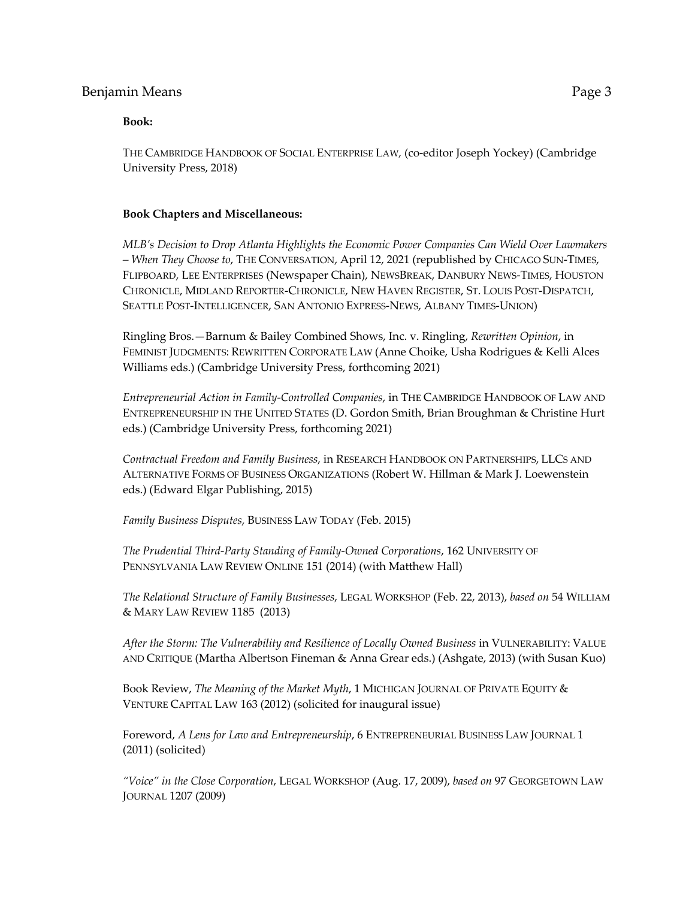#### **Book:**

 THE CAMBRIDGE HANDBOOK OF SOCIAL ENTERPRISE LAW*,* (co-editor Joseph Yockey) (Cambridge University Press, 2018)

#### **Book Chapters and Miscellaneous:**

 *MLB's Decision to Drop Atlanta Highlights the Economic Power Companies Can Wield Over Lawmakers – When They Choose to*, THE CONVERSATION, April 12, 2021 (republished by CHICAGO SUN-TIMES, SEATTLE POST-INTELLIGENCER, SAN ANTONIO EXPRESS-NEWS, ALBANY TIMES-UNION) FLIPBOARD, LEE ENTERPRISES (Newspaper Chain), NEWSBREAK, DANBURY NEWS-TIMES, HOUSTON CHRONICLE, MIDLAND REPORTER-CHRONICLE, NEW HAVEN REGISTER, ST. LOUIS POST-DISPATCH,

SEATTLE POST-INTELLIGENCER, SAN ANTONIO EXPRESS-NEWS, ALBANY TIMES-UNION)<br>Ringling Bros.—Barnum & Bailey Combined Shows, Inc. v. Ringling*, Rewritten Opinion,* in FEMINIST JUDGMENTS: REWRITTEN CORPORATE LAW (Anne Choike, Usha Rodrigues & Kelli Alces Williams eds.) (Cambridge University Press, forthcoming 2021)

 ENTREPRENEURSHIP IN THE UNITED STATES (D. Gordon Smith, Brian Broughman & Christine Hurt eds.) (Cambridge University Press, forthcoming 2021) *Entrepreneurial Action in Family-Controlled Companies*, in THE CAMBRIDGE HANDBOOK OF LAW AND

 *Contractual Freedom and Family Business*, in RESEARCH HANDBOOK ON PARTNERSHIPS, LLCS AND ALTERNATIVE FORMS OF BUSINESS ORGANIZATIONS (Robert W. Hillman & Mark J. Loewenstein eds.) (Edward Elgar Publishing, 2015)

*Family Business Disputes*, BUSINESS LAW TODAY (Feb. 2015)

 *The Prudential Third-Party Standing of Family-Owned Corporations*, 162 UNIVERSITY OF PENNSYLVANIA LAW REVIEW ONLINE 151 (2014) (with Matthew Hall)

 *The Relational Structure of Family Businesses*, LEGAL WORKSHOP (Feb. 22, 2013), *based on* 54 WILLIAM & MARY LAW REVIEW 1185 (2013)

 *After the Storm: The Vulnerability and Resilience of Locally Owned Business* in VULNERABILITY: VALUE AND CRITIQUE (Martha Albertson Fineman & Anna Grear eds.) (Ashgate, 2013) (with Susan Kuo)

 Book Review, *The Meaning of the Market Myth*, 1 MICHIGAN JOURNAL OF PRIVATE EQUITY & VENTURE CAPITAL LAW 163 (2012) (solicited for inaugural issue)

 Foreword, *A Lens for Law and Entrepreneurship*, 6 ENTREPRENEURIAL BUSINESS LAW JOURNAL 1 (2011) (solicited)

 *"Voice" in the Close Corporation*, LEGAL WORKSHOP (Aug. 17, 2009), *based on* 97 GEORGETOWN LAW JOURNAL 1207 (2009)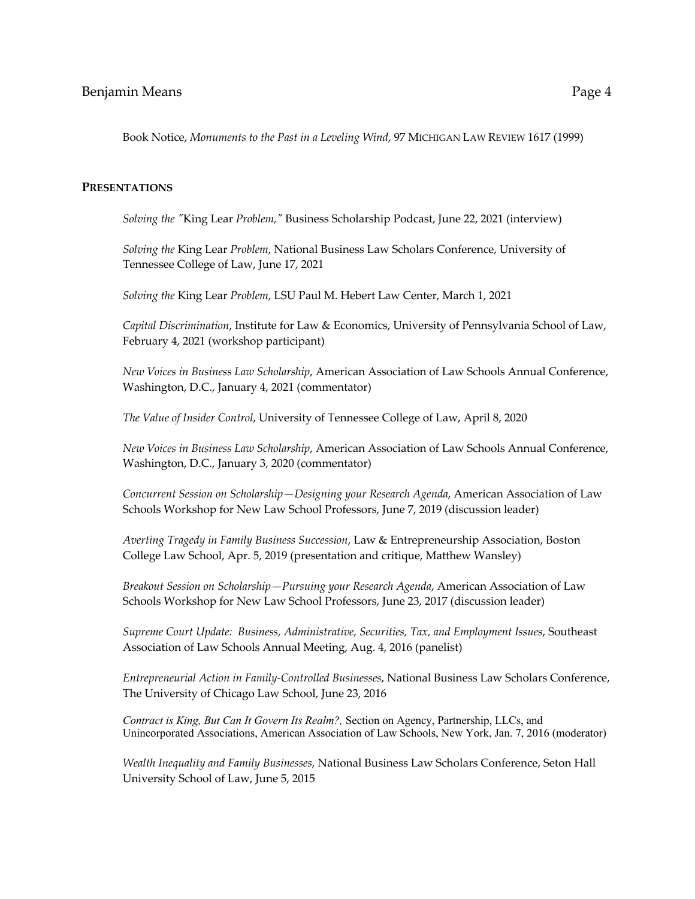Book Notice, *Monuments to the Past in a Leveling Wind*, 97 MICHIGAN LAW REVIEW 1617 (1999)

#### **PRESENTATIONS**

 *Solving the "*King Lear *Problem,"* Business Scholarship Podcast, June 22, 2021 (interview)

 *Solving the* King Lear *Problem*, National Business Law Scholars Conference, University of Tennessee College of Law, June 17, 2021

 *Solving the* King Lear *Problem*, LSU Paul M. Hebert Law Center, March 1, 2021

 *Capital Discrimination*, Institute for Law & Economics, University of Pennsylvania School of Law, February 4, 2021 (workshop participant)

 *New Voices in Business Law Scholarship*, American Association of Law Schools Annual Conference, Washington, D.C., January 4, 2021 (commentator)

 *The Value of Insider Control*, University of Tennessee College of Law, April 8, 2020

 *New Voices in Business Law Scholarship*, American Association of Law Schools Annual Conference, Washington, D.C., January 3, 2020 (commentator)

 *Concurrent Session on Scholarship—Designing your Research Agenda*, American Association of Law Schools Workshop for New Law School Professors, June 7, 2019 (discussion leader)

 College Law School, Apr. 5, 2019 (presentation and critique, Matthew Wansley) *Averting Tragedy in Family Business Succession*, Law & Entrepreneurship Association, Boston

 *Breakout Session on Scholarship—Pursuing your Research Agenda*, American Association of Law Schools Workshop for New Law School Professors, June 23, 2017 (discussion leader)

 *Supreme Court Update: Business, Administrative, Securities, Tax, and Employment Issues*, Southeast Association of Law Schools Annual Meeting, Aug. 4, 2016 (panelist)

 *Entrepreneurial Action in Family-Controlled Businesses*, National Business Law Scholars Conference, The University of Chicago Law School, June 23, 2016

 *Contract is King, But Can It Govern Its Realm?,* Section on Agency, Partnership, LLCs, and Unincorporated Associations, American Association of Law Schools, New York, Jan. 7, 2016 (moderator)

 University School of Law, June 5, 2015 *Wealth Inequality and Family Businesses*, National Business Law Scholars Conference, Seton Hall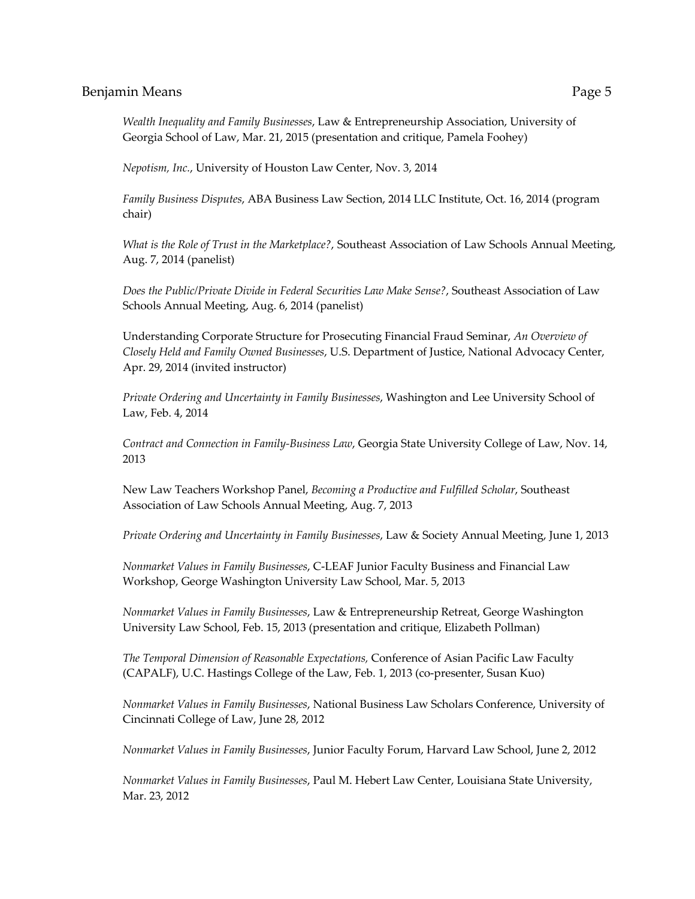*Wealth Inequality and Family Businesses*, Law & Entrepreneurship Association, University of Georgia School of Law, Mar. 21, 2015 (presentation and critique, Pamela Foohey)

*Nepotism, Inc.*, University of Houston Law Center, Nov. 3, 2014

 *Family Business Disputes*, ABA Business Law Section, 2014 LLC Institute, Oct. 16, 2014 (program chair)

 *What is the Role of Trust in the Marketplace?*, Southeast Association of Law Schools Annual Meeting, Aug. 7, 2014 (panelist)

 *Does the Public/Private Divide in Federal Securities Law Make Sense?*, Southeast Association of Law Schools Annual Meeting, Aug. 6, 2014 (panelist)

 Understanding Corporate Structure for Prosecuting Financial Fraud Seminar, *An Overview of Closely Held and Family Owned Businesses*, U.S. Department of Justice, National Advocacy Center, Apr. 29, 2014 (invited instructor)

 *Private Ordering and Uncertainty in Family Businesses*, Washington and Lee University School of Law, Feb. 4, 2014

 *Contract and Connection in Family-Business Law*, Georgia State University College of Law, Nov. 14, 2013

 New Law Teachers Workshop Panel, *Becoming a Productive and Fulfilled Scholar*, Southeast Association of Law Schools Annual Meeting, Aug. 7, 2013

*Private Ordering and Uncertainty in Family Businesses*, Law & Society Annual Meeting, June 1, 2013

 *Nonmarket Values in Family Businesses*, C-LEAF Junior Faculty Business and Financial Law Workshop, George Washington University Law School, Mar. 5, 2013

 *Nonmarket Values in Family Businesses*, Law & Entrepreneurship Retreat, George Washington University Law School, Feb. 15, 2013 (presentation and critique, Elizabeth Pollman)

 *The Temporal Dimension of Reasonable Expectations,* Conference of Asian Pacific Law Faculty (CAPALF), U.C. Hastings College of the Law, Feb. 1, 2013 (co-presenter, Susan Kuo)

 *Nonmarket Values in Family Businesses*, National Business Law Scholars Conference, University of Cincinnati College of Law, June 28, 2012

*Nonmarket Values in Family Businesses*, Junior Faculty Forum, Harvard Law School, June 2, 2012

 *Nonmarket Values in Family Businesses*, Paul M. Hebert Law Center, Louisiana State University, Mar. 23, 2012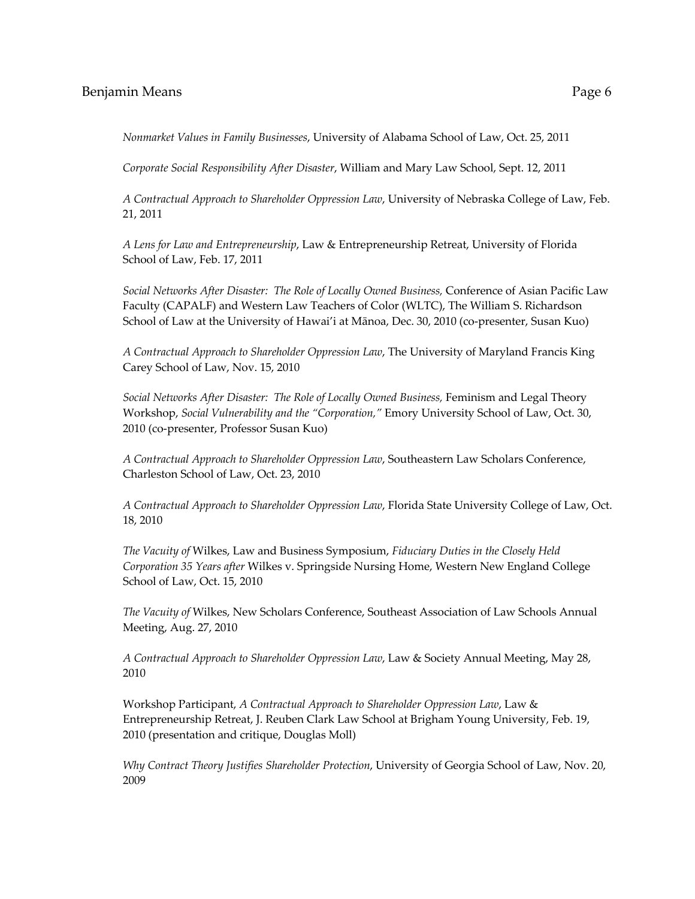*Nonmarket Values in Family Businesses*, University of Alabama School of Law, Oct. 25, 2011

*Corporate Social Responsibility After Disaster*, William and Mary Law School, Sept. 12, 2011

 *A Contractual Approach to Shareholder Oppression Law*, University of Nebraska College of Law, Feb. 21, 2011

 *A Lens for Law and Entrepreneurship*, Law & Entrepreneurship Retreat, University of Florida School of Law, Feb. 17, 2011

Social Networks After Disaster: The Role of Locally Owned Business, Conference of Asian Pacific Law Faculty (CAPALF) and Western Law Teachers of Color (WLTC), The William S. Richardson School of Law at the University of Hawai'i at Mānoa, Dec. 30, 2010 (co-presenter, Susan Kuo)

 *A Contractual Approach to Shareholder Oppression Law*, The University of Maryland Francis King Carey School of Law, Nov. 15, 2010

 *Social Networks After Disaster: The Role of Locally Owned Business,* Feminism and Legal Theory  Workshop, *Social Vulnerability and the "Corporation,"* Emory University School of Law, Oct. 30, 2010 (co-presenter, Professor Susan Kuo)

 *A Contractual Approach to Shareholder Oppression Law*, Southeastern Law Scholars Conference, Charleston School of Law, Oct. 23, 2010

 *A Contractual Approach to Shareholder Oppression Law*, Florida State University College of Law, Oct. 18, 2010

 *The Vacuity of* Wilkes, Law and Business Symposium, *Fiduciary Duties in the Closely Held Corporation 35 Years after* Wilkes v. Springside Nursing Home, Western New England College School of Law, Oct. 15, 2010

 *The Vacuity of* Wilkes, New Scholars Conference, Southeast Association of Law Schools Annual Meeting, Aug. 27, 2010

*A Contractual Approach to Shareholder Oppression Law*, Law & Society Annual Meeting, May 28, 2010

 Entrepreneurship Retreat, J. Reuben Clark Law School at Brigham Young University, Feb. 19, 2010 (presentation and critique, Douglas Moll) Workshop Participant, *A Contractual Approach to Shareholder Oppression Law*, Law &

 *Why Contract Theory Justifies Shareholder Protection*, University of Georgia School of Law, Nov. 20, 2009